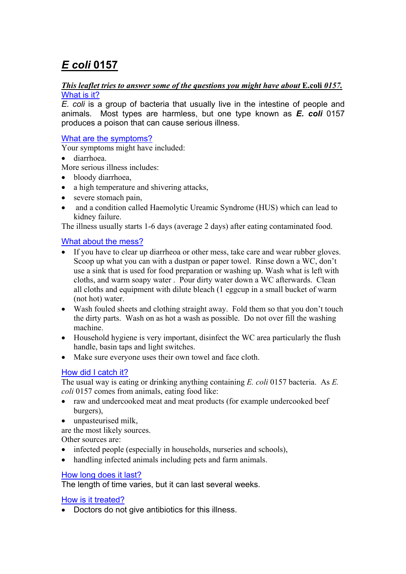# *E coli* **0157**

#### *This leaflet tries to answer some of the questions you might have about* **E.coli** 0157. What is it?

*E. coli* is a group of bacteria that usually live in the intestine of people and animals. Most types are harmless, but one type known as *E. coli* 0157 produces a poison that can cause serious illness.

## What are the symptoms?

Your symptoms might have included:

• diarrhoea.

More serious illness includes:

- bloody diarrhoea.
- a high temperature and shivering attacks,
- severe stomach pain,
- and a condition called Haemolytic Ureamic Syndrome (HUS) which can lead to kidney failure.

The illness usually starts 1-6 days (average 2 days) after eating contaminated food.

## What about the mess?

- If you have to clear up diarrheoa or other mess, take care and wear rubber gloves. Scoop up what you can with a dustpan or paper towel. Rinse down a WC, don't use a sink that is used for food preparation or washing up. Wash what is left with cloths, and warm soapy water . Pour dirty water down a WC afterwards. Clean all cloths and equipment with dilute bleach (1 eggcup in a small bucket of warm (not hot) water.
- Wash fouled sheets and clothing straight away. Fold them so that you don't touch the dirty parts. Wash on as hot a wash as possible. Do not over fill the washing machine.
- Household hygiene is very important, disinfect the WC area particularly the flush handle, basin taps and light switches.
- Make sure everyone uses their own towel and face cloth.

## How did I catch it?

The usual way is eating or drinking anything containing *E. coli* 0157 bacteria. As *E. coli* 0157 comes from animals, eating food like:

- raw and undercooked meat and meat products (for example undercooked beef burgers),
- unpasteurised milk,

are the most likely sources.

Other sources are:

- infected people (especially in households, nurseries and schools),
- handling infected animals including pets and farm animals.

## How long does it last?

The length of time varies, but it can last several weeks.

How is it treated?

• Doctors do not give antibiotics for this illness.